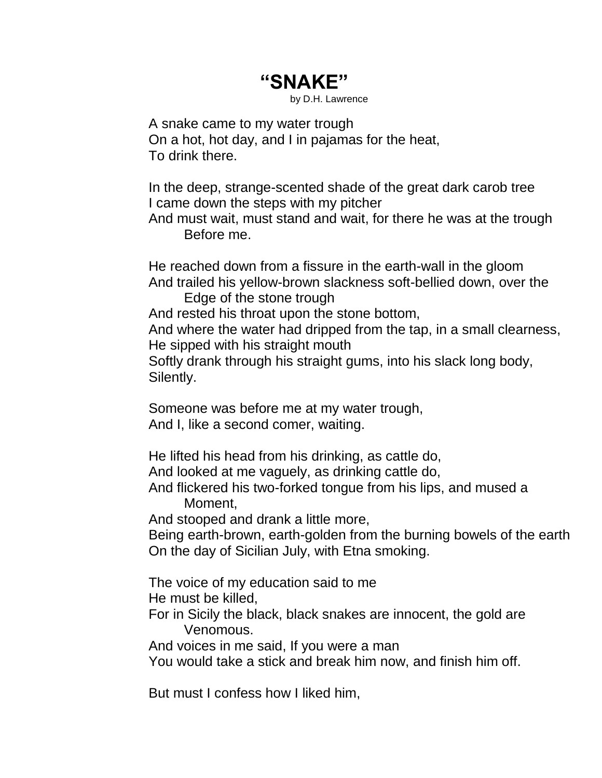## **"SNAKE"**

by D.H. Lawrence

A snake came to my water trough On a hot, hot day, and I in pajamas for the heat, To drink there.

In the deep, strange-scented shade of the great dark carob tree I came down the steps with my pitcher

And must wait, must stand and wait, for there he was at the trough Before me.

He reached down from a fissure in the earth-wall in the gloom And trailed his yellow-brown slackness soft-bellied down, over the

Edge of the stone trough

And rested his throat upon the stone bottom,

And where the water had dripped from the tap, in a small clearness, He sipped with his straight mouth

Softly drank through his straight gums, into his slack long body, Silently.

Someone was before me at my water trough, And I, like a second comer, waiting.

He lifted his head from his drinking, as cattle do,

And looked at me vaguely, as drinking cattle do,

And flickered his two-forked tongue from his lips, and mused a Moment,

And stooped and drank a little more,

Being earth-brown, earth-golden from the burning bowels of the earth On the day of Sicilian July, with Etna smoking.

The voice of my education said to me He must be killed,

For in Sicily the black, black snakes are innocent, the gold are Venomous.

And voices in me said, If you were a man

You would take a stick and break him now, and finish him off.

But must I confess how I liked him,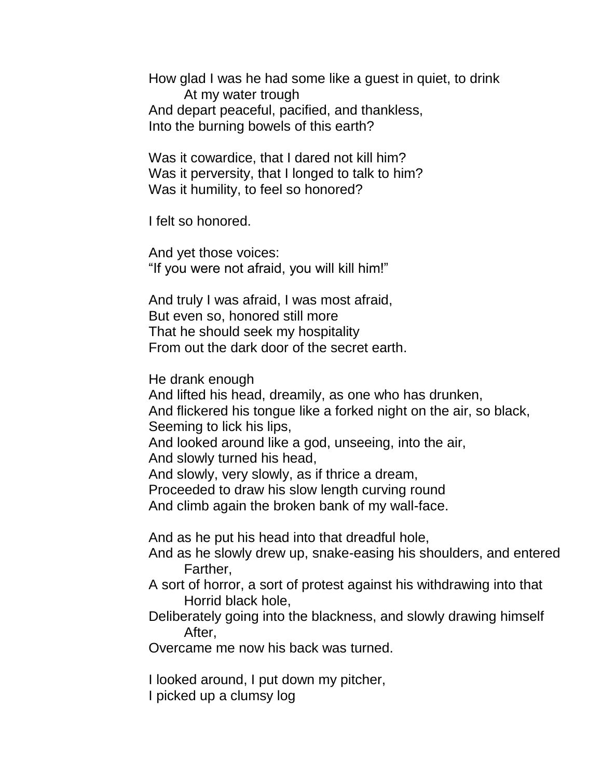How glad I was he had some like a guest in quiet, to drink At my water trough And depart peaceful, pacified, and thankless, Into the burning bowels of this earth?

Was it cowardice, that I dared not kill him? Was it perversity, that I longed to talk to him? Was it humility, to feel so honored?

I felt so honored.

And yet those voices: "If you were not afraid, you will kill him!"

And truly I was afraid, I was most afraid, But even so, honored still more That he should seek my hospitality From out the dark door of the secret earth.

He drank enough

And lifted his head, dreamily, as one who has drunken, And flickered his tongue like a forked night on the air, so black, Seeming to lick his lips,

And looked around like a god, unseeing, into the air, And slowly turned his head,

And slowly, very slowly, as if thrice a dream,

Proceeded to draw his slow length curving round

And climb again the broken bank of my wall-face.

And as he put his head into that dreadful hole,

And as he slowly drew up, snake-easing his shoulders, and entered Farther,

A sort of horror, a sort of protest against his withdrawing into that Horrid black hole,

Deliberately going into the blackness, and slowly drawing himself After,

Overcame me now his back was turned.

I looked around, I put down my pitcher,

I picked up a clumsy log